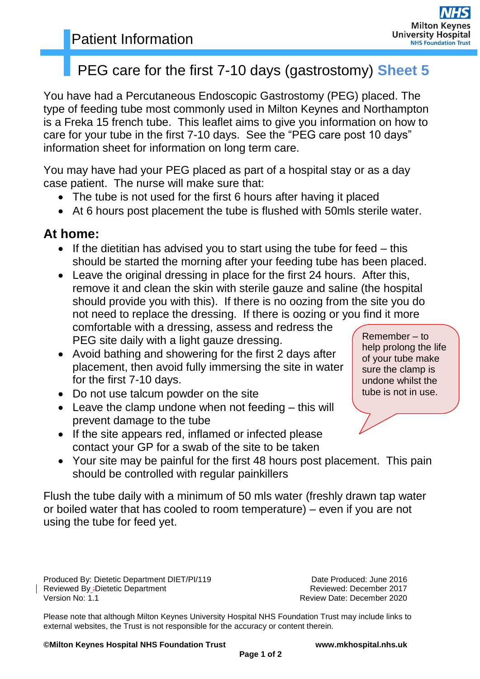# PEG care for the first 7-10 days (gastrostomy) **Sheet 5**

You have had a Percutaneous Endoscopic Gastrostomy (PEG) placed. The type of feeding tube most commonly used in Milton Keynes and Northampton is a Freka 15 french tube. This leaflet aims to give you information on how to care for your tube in the first 7-10 days. See the "PEG care post 10 days" information sheet for information on long term care.

You may have had your PEG placed as part of a hospital stay or as a day case patient. The nurse will make sure that:

- The tube is not used for the first 6 hours after having it placed
- At 6 hours post placement the tube is flushed with 50mls sterile water.

## **At home:**

- If the dietitian has advised you to start using the tube for feed  $-$  this should be started the morning after your feeding tube has been placed.
- Remember to help prolong the life Leave the original dressing in place for the first 24 hours. After this, remove it and clean the skin with sterile gauze and saline (the hospital should provide you with this). If there is no oozing from the site you do not need to replace the dressing. If there is oozing or you find it more comfortable with a dressing, assess and redress the PEG site daily with a light gauze dressing.
- Avoid bathing and showering for the first 2 days after placement, then avoid fully immersing the site in water for the first 7-10 days.
- Do not use talcum powder on the site
- Leave the clamp undone when not feeding this will prevent damage to the tube
- If the site appears red, inflamed or infected please contact your GP for a swab of the site to be taken
- Your site may be painful for the first 48 hours post placement. This pain should be controlled with regular painkillers

Flush the tube daily with a minimum of 50 mls water (freshly drawn tap water or boiled water that has cooled to room temperature) – even if you are not using the tube for feed yet.

Produced By: Dietetic Department DIET/PI/119 Date Produced: June 2016 Reviewed By <sub>:</sub>Dietetic Department **Reviewed: December 2017**<br>Version No: 1.1 **Review** Date: December 2020

Review Date: December 2020

of your tube make sure the clamp is undone whilst the tube is not in use.

Please note that although Milton Keynes University Hospital NHS Foundation Trust may include links to external websites, the Trust is not responsible for the accuracy or content therein.

**©Milton Keynes Hospital NHS Foundation Trust www.mkhospital.nhs.uk**